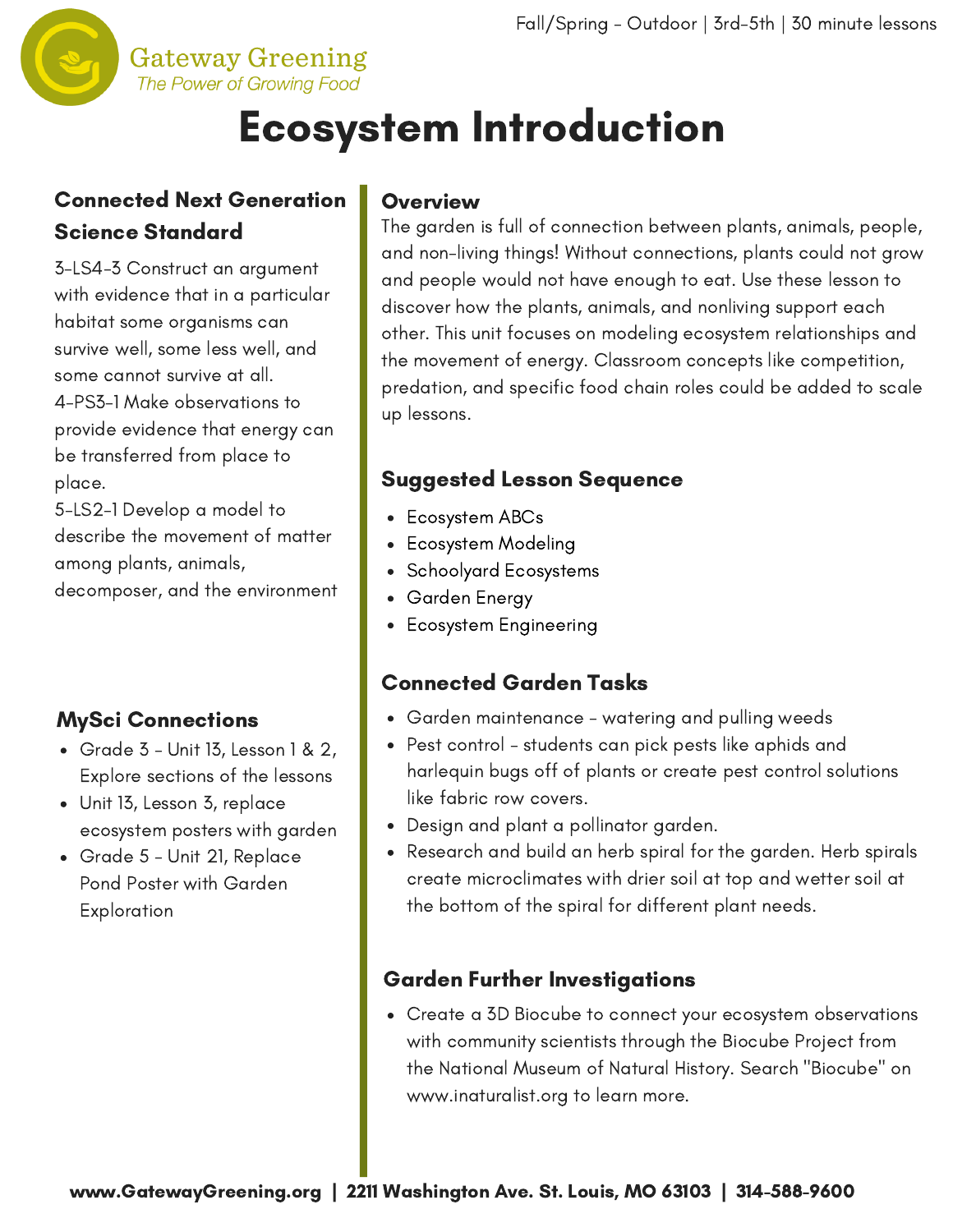

## Ecosystem Introduction

## Connected Next Generation Science Standard

3-LS4-3 Construct an argument with evidence that in a particular habitat some organisms can survive well, some less well, and some cannot survive at all. 4-PS3-1 Make observations to provide evidence that energy can be transferred from place to place.

5-LS2-1 Develop a model to describe the movement of matter among plants, animals, decomposer, and the environment

## MySci Connections

- $\bullet$  Grade 3 Unit 13, Lesson 1 & 2, Explore sections of the lessons
- Unit 13, Lesson 3, replace ecosystem posters with garden
- Grade 5 Unit 21, Replace Pond Poster with Garden **Exploration**

#### **Overview**

The garden is full of connection between plants, animals, people, and non-living things! Without [connections,](http://www.gatewaygreening.org/wp-content/uploads/2018/08/Gateway-Greening-Planting-Calendar-2018.pdf) plants could not grow and people would not have enough to eat. Use these lesson to discover how the plants, animals, and nonliving support each other. This unit focuses on modeling ecosystem relationships and the movement of energy. Classroom concepts like competition, predation, and specific food chain roles could be added to scale up lessons.

## Suggested Lesson Sequence

- Ecosystem ABCs
- Ecosystem Modeling
- Schoolyard Ecosystems
- Garden Energy
- Ecosystem Engineering  $\bullet$

#### Connected Garden Tasks

- Garden maintenance watering and pulling weeds
- Pest control students can pick pests like aphids and harlequin bugs off of plants or create pest control solutions like fabric row covers.
- Design and plant a pollinator garden.
- Research and build an herb spiral for the garden. Herb spirals create microclimates with drier soil at top and wetter soil at the bottom of the spiral for different plant needs.

#### Garden Further Investigations

Create a 3D Biocube to connect your ecosystem observations with community scientists through the Biocube Project from the National Museum of Natural History. Search "Biocube" on www.inaturalist.org to learn more.